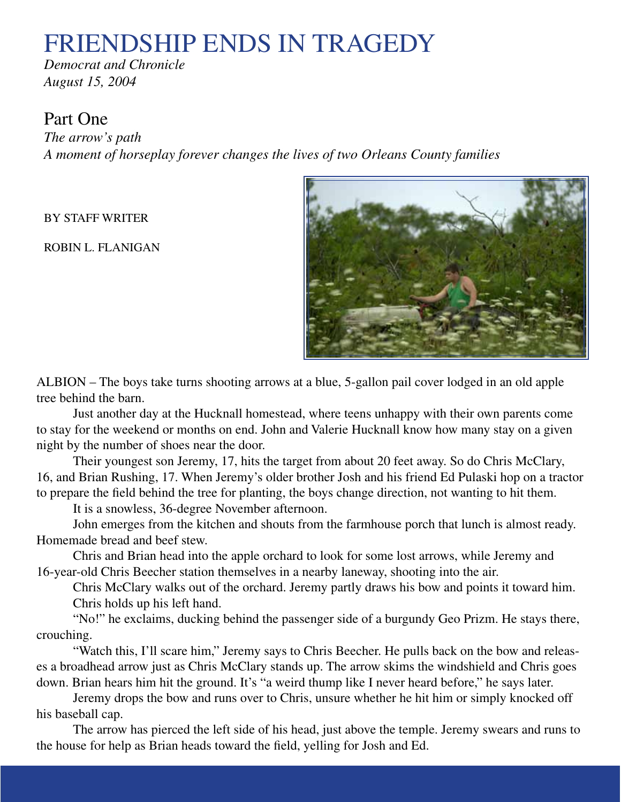# FRIENDSHIP ENDS IN TRAGEDY

*Democrat and Chronicle August 15, 2004*

## Part One

*The arrow's path A moment of horseplay forever changes the lives of two Orleans County families*

BY STAFF WRITER

ROBIN L. FLANIGAN



ALBION – The boys take turns shooting arrows at a blue, 5-gallon pail cover lodged in an old apple tree behind the barn.

Just another day at the Hucknall homestead, where teens unhappy with their own parents come to stay for the weekend or months on end. John and Valerie Hucknall know how many stay on a given night by the number of shoes near the door.

Their youngest son Jeremy, 17, hits the target from about 20 feet away. So do Chris McClary, 16, and Brian Rushing, 17. When Jeremy's older brother Josh and his friend Ed Pulaski hop on a tractor to prepare the field behind the tree for planting, the boys change direction, not wanting to hit them.

It is a snowless, 36-degree November afternoon.

John emerges from the kitchen and shouts from the farmhouse porch that lunch is almost ready. Homemade bread and beef stew.

Chris and Brian head into the apple orchard to look for some lost arrows, while Jeremy and 16-year-old Chris Beecher station themselves in a nearby laneway, shooting into the air.

Chris McClary walks out of the orchard. Jeremy partly draws his bow and points it toward him. Chris holds up his left hand.

"No!" he exclaims, ducking behind the passenger side of a burgundy Geo Prizm. He stays there, crouching.

"Watch this, I'll scare him," Jeremy says to Chris Beecher. He pulls back on the bow and releases a broadhead arrow just as Chris McClary stands up. The arrow skims the windshield and Chris goes down. Brian hears him hit the ground. It's "a weird thump like I never heard before," he says later.

Jeremy drops the bow and runs over to Chris, unsure whether he hit him or simply knocked off his baseball cap.

The arrow has pierced the left side of his head, just above the temple. Jeremy swears and runs to the house for help as Brian heads toward the field, yelling for Josh and Ed.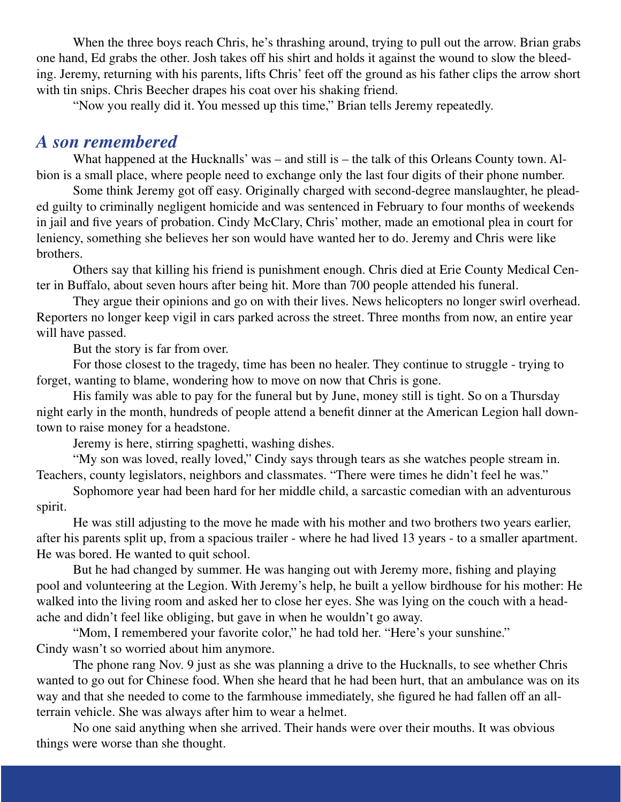When the three boys reach Chris, he's thrashing around, trying to pull out the arrow. Brian grabs one hand, Ed grabs the other. Josh takes off his shirt and holds it against the wound to slow the bleeding. Jeremy, returning with his parents, lifts Chris' feet off the ground as his father clips the arrow short with tin snips. Chris Beecher drapes his coat over his shaking friend.

"Now you really did it. You messed up this time," Brian tells Jeremy repeatedly.

#### *A son remembered*

What happened at the Hucknalls' was – and still is – the talk of this Orleans County town. Albion is a small place, where people need to exchange only the last four digits of their phone number.

Some think Jeremy got off easy. Originally charged with second-degree manslaughter, he pleaded guilty to criminally negligent homicide and was sentenced in February to four months of weekends in jail and five years of probation. Cindy McClary, Chris' mother, made an emotional plea in court for leniency, something she believes her son would have wanted her to do. Jeremy and Chris were like brothers.

Others say that killing his friend is punishment enough. Chris died at Erie County Medical Center in Buffalo, about seven hours after being hit. More than 700 people attended his funeral.

They argue their opinions and go on with their lives. News helicopters no longer swirl overhead. Reporters no longer keep vigil in cars parked across the street. Three months from now, an entire year will have passed.

But the story is far from over.

For those closest to the tragedy, time has been no healer. They continue to struggle - trying to forget, wanting to blame, wondering how to move on now that Chris is gone.

His family was able to pay for the funeral but by June, money still is tight. So on a Thursday night early in the month, hundreds of people attend a benefit dinner at the American Legion hall downtown to raise money for a headstone.

Jeremy is here, stirring spaghetti, washing dishes.

"My son was loved, really loved," Cindy says through tears as she watches people stream in. Teachers, county legislators, neighbors and classmates. "There were times he didn't feel he was."

Sophomore year had been hard for her middle child, a sarcastic comedian with an adventurous spirit.

He was still adjusting to the move he made with his mother and two brothers two years earlier, after his parents split up, from a spacious trailer - where he had lived 13 years - to a smaller apartment. He was bored. He wanted to quit school.

But he had changed by summer. He was hanging out with Jeremy more, fishing and playing pool and volunteering at the Legion. With Jeremy's help, he built a yellow birdhouse for his mother: He walked into the living room and asked her to close her eyes. She was lying on the couch with a headache and didn't feel like obliging, but gave in when he wouldn't go away.

"Mom, I remembered your favorite color," he had told her. "Here's your sunshine." Cindy wasn't so worried about him anymore.

The phone rang Nov. 9 just as she was planning a drive to the Hucknalls, to see whether Chris wanted to go out for Chinese food. When she heard that he had been hurt, that an ambulance was on its way and that she needed to come to the farmhouse immediately, she figured he had fallen off an allterrain vehicle. She was always after him to wear a helmet.

No one said anything when she arrived. Their hands were over their mouths. It was obvious things were worse than she thought.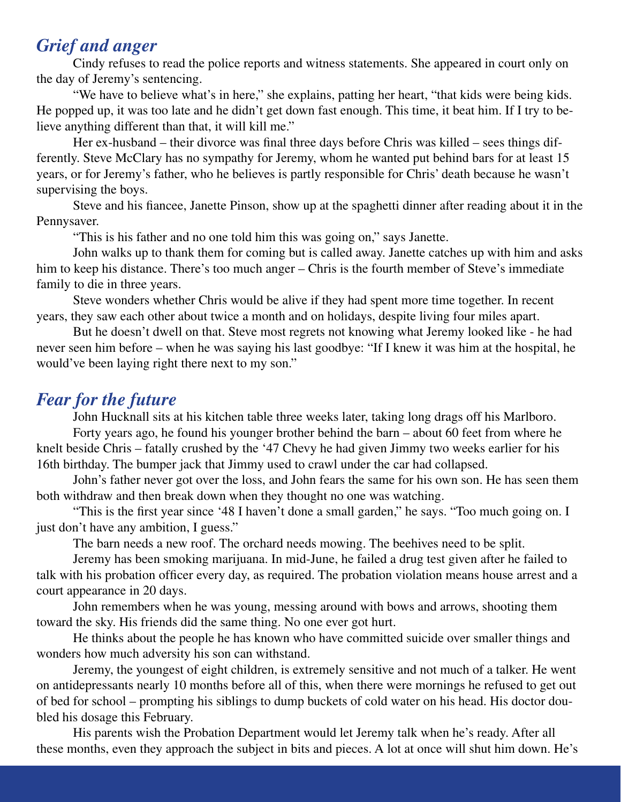# *Grief and anger*

Cindy refuses to read the police reports and witness statements. She appeared in court only on the day of Jeremy's sentencing.

"We have to believe what's in here," she explains, patting her heart, "that kids were being kids. He popped up, it was too late and he didn't get down fast enough. This time, it beat him. If I try to believe anything different than that, it will kill me."

Her ex-husband – their divorce was final three days before Chris was killed – sees things differently. Steve McClary has no sympathy for Jeremy, whom he wanted put behind bars for at least 15 years, or for Jeremy's father, who he believes is partly responsible for Chris' death because he wasn't supervising the boys.

Steve and his fiancee, Janette Pinson, show up at the spaghetti dinner after reading about it in the Pennysaver.

"This is his father and no one told him this was going on," says Janette.

John walks up to thank them for coming but is called away. Janette catches up with him and asks him to keep his distance. There's too much anger – Chris is the fourth member of Steve's immediate family to die in three years.

Steve wonders whether Chris would be alive if they had spent more time together. In recent years, they saw each other about twice a month and on holidays, despite living four miles apart.

But he doesn't dwell on that. Steve most regrets not knowing what Jeremy looked like - he had never seen him before – when he was saying his last goodbye: "If I knew it was him at the hospital, he would've been laying right there next to my son."

## *Fear for the future*

John Hucknall sits at his kitchen table three weeks later, taking long drags off his Marlboro.

Forty years ago, he found his younger brother behind the barn – about 60 feet from where he knelt beside Chris – fatally crushed by the '47 Chevy he had given Jimmy two weeks earlier for his 16th birthday. The bumper jack that Jimmy used to crawl under the car had collapsed.

John's father never got over the loss, and John fears the same for his own son. He has seen them both withdraw and then break down when they thought no one was watching.

"This is the first year since '48 I haven't done a small garden," he says. "Too much going on. I just don't have any ambition, I guess."

The barn needs a new roof. The orchard needs mowing. The beehives need to be split.

Jeremy has been smoking marijuana. In mid-June, he failed a drug test given after he failed to talk with his probation officer every day, as required. The probation violation means house arrest and a court appearance in 20 days.

John remembers when he was young, messing around with bows and arrows, shooting them toward the sky. His friends did the same thing. No one ever got hurt.

He thinks about the people he has known who have committed suicide over smaller things and wonders how much adversity his son can withstand.

Jeremy, the youngest of eight children, is extremely sensitive and not much of a talker. He went on antidepressants nearly 10 months before all of this, when there were mornings he refused to get out of bed for school – prompting his siblings to dump buckets of cold water on his head. His doctor doubled his dosage this February.

His parents wish the Probation Department would let Jeremy talk when he's ready. After all these months, even they approach the subject in bits and pieces. A lot at once will shut him down. He's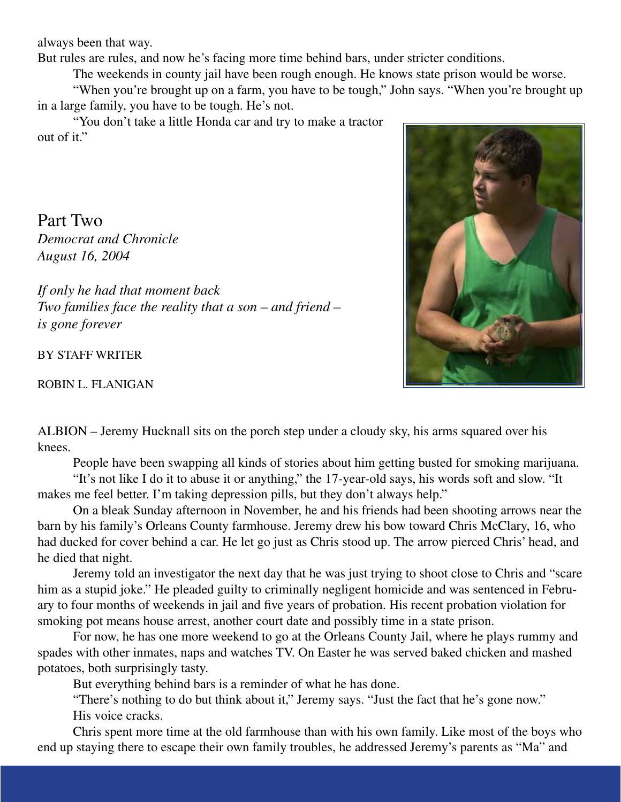always been that way.

But rules are rules, and now he's facing more time behind bars, under stricter conditions.

The weekends in county jail have been rough enough. He knows state prison would be worse.

"When you're brought up on a farm, you have to be tough," John says. "When you're brought up in a large family, you have to be tough. He's not.

"You don't take a little Honda car and try to make a tractor out of it."

Part Two *Democrat and Chronicle August 16, 2004*

*If only he had that moment back Two families face the reality that a son – and friend – is gone forever*

BY STAFF WRITER

ROBIN L. FLANIGAN



ALBION – Jeremy Hucknall sits on the porch step under a cloudy sky, his arms squared over his knees.

People have been swapping all kinds of stories about him getting busted for smoking marijuana.

"It's not like I do it to abuse it or anything," the 17-year-old says, his words soft and slow. "It makes me feel better. I'm taking depression pills, but they don't always help."

On a bleak Sunday afternoon in November, he and his friends had been shooting arrows near the barn by his family's Orleans County farmhouse. Jeremy drew his bow toward Chris McClary, 16, who had ducked for cover behind a car. He let go just as Chris stood up. The arrow pierced Chris' head, and he died that night.

Jeremy told an investigator the next day that he was just trying to shoot close to Chris and "scare him as a stupid joke." He pleaded guilty to criminally negligent homicide and was sentenced in February to four months of weekends in jail and five years of probation. His recent probation violation for smoking pot means house arrest, another court date and possibly time in a state prison.

For now, he has one more weekend to go at the Orleans County Jail, where he plays rummy and spades with other inmates, naps and watches TV. On Easter he was served baked chicken and mashed potatoes, both surprisingly tasty.

But everything behind bars is a reminder of what he has done.

"There's nothing to do but think about it," Jeremy says. "Just the fact that he's gone now." His voice cracks.

Chris spent more time at the old farmhouse than with his own family. Like most of the boys who end up staying there to escape their own family troubles, he addressed Jeremy's parents as "Ma" and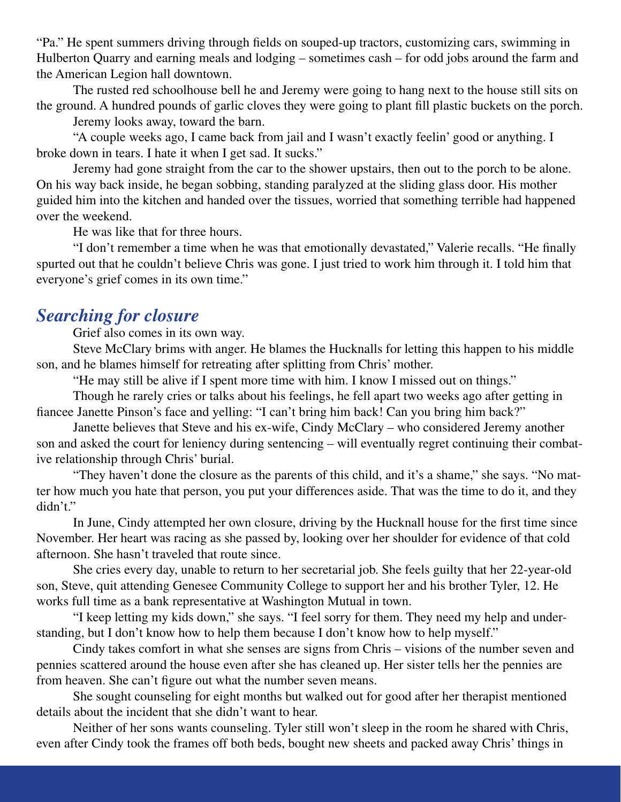"Pa." He spent summers driving through fields on souped-up tractors, customizing cars, swimming in Hulberton Quarry and earning meals and lodging – sometimes cash – for odd jobs around the farm and the American Legion hall downtown.

The rusted red schoolhouse bell he and Jeremy were going to hang next to the house still sits on the ground. A hundred pounds of garlic cloves they were going to plant fill plastic buckets on the porch.

Jeremy looks away, toward the barn.

"A couple weeks ago, I came back from jail and I wasn't exactly feelin' good or anything. I broke down in tears. I hate it when I get sad. It sucks."

Jeremy had gone straight from the car to the shower upstairs, then out to the porch to be alone. On his way back inside, he began sobbing, standing paralyzed at the sliding glass door. His mother guided him into the kitchen and handed over the tissues, worried that something terrible had happened over the weekend.

He was like that for three hours.

"I don't remember a time when he was that emotionally devastated," Valerie recalls. "He finally spurted out that he couldn't believe Chris was gone. I just tried to work him through it. I told him that everyone's grief comes in its own time."

# *Searching for closure*

Grief also comes in its own way.

Steve McClary brims with anger. He blames the Hucknalls for letting this happen to his middle son, and he blames himself for retreating after splitting from Chris' mother.

"He may still be alive if I spent more time with him. I know I missed out on things."

Though he rarely cries or talks about his feelings, he fell apart two weeks ago after getting in fiancee Janette Pinson's face and yelling: "I can't bring him back! Can you bring him back?"

Janette believes that Steve and his ex-wife, Cindy McClary – who considered Jeremy another son and asked the court for leniency during sentencing – will eventually regret continuing their combative relationship through Chris' burial.

"They haven't done the closure as the parents of this child, and it's a shame," she says. "No matter how much you hate that person, you put your differences aside. That was the time to do it, and they didn't."

In June, Cindy attempted her own closure, driving by the Hucknall house for the first time since November. Her heart was racing as she passed by, looking over her shoulder for evidence of that cold afternoon. She hasn't traveled that route since.

She cries every day, unable to return to her secretarial job. She feels guilty that her 22-year-old son, Steve, quit attending Genesee Community College to support her and his brother Tyler, 12. He works full time as a bank representative at Washington Mutual in town.

"I keep letting my kids down," she says. "I feel sorry for them. They need my help and understanding, but I don't know how to help them because I don't know how to help myself."

Cindy takes comfort in what she senses are signs from Chris – visions of the number seven and pennies scattered around the house even after she has cleaned up. Her sister tells her the pennies are from heaven. She can't figure out what the number seven means.

She sought counseling for eight months but walked out for good after her therapist mentioned details about the incident that she didn't want to hear.

Neither of her sons wants counseling. Tyler still won't sleep in the room he shared with Chris, even after Cindy took the frames off both beds, bought new sheets and packed away Chris' things in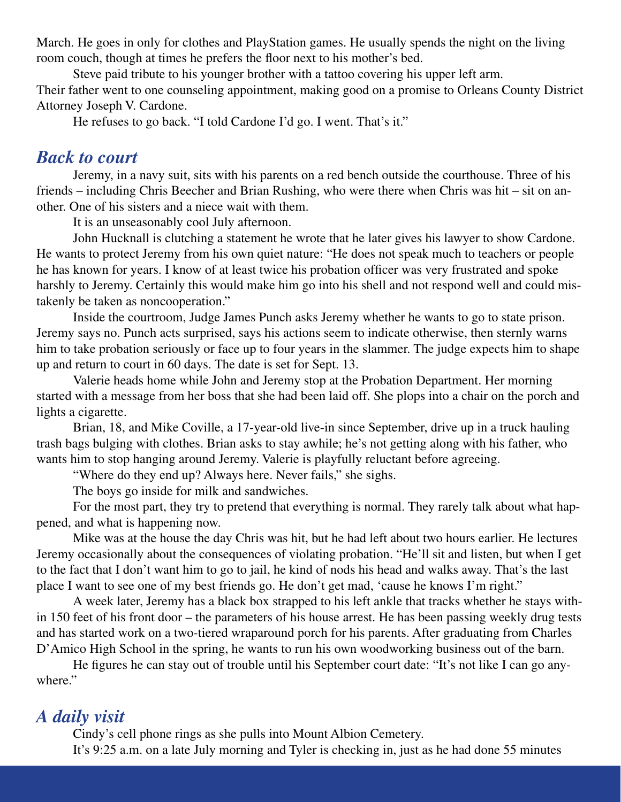March. He goes in only for clothes and PlayStation games. He usually spends the night on the living room couch, though at times he prefers the floor next to his mother's bed.

Steve paid tribute to his younger brother with a tattoo covering his upper left arm. Their father went to one counseling appointment, making good on a promise to Orleans County District Attorney Joseph V. Cardone.

He refuses to go back. "I told Cardone I'd go. I went. That's it."

### *Back to court*

Jeremy, in a navy suit, sits with his parents on a red bench outside the courthouse. Three of his friends – including Chris Beecher and Brian Rushing, who were there when Chris was hit – sit on another. One of his sisters and a niece wait with them.

It is an unseasonably cool July afternoon.

John Hucknall is clutching a statement he wrote that he later gives his lawyer to show Cardone. He wants to protect Jeremy from his own quiet nature: "He does not speak much to teachers or people he has known for years. I know of at least twice his probation officer was very frustrated and spoke harshly to Jeremy. Certainly this would make him go into his shell and not respond well and could mistakenly be taken as noncooperation."

Inside the courtroom, Judge James Punch asks Jeremy whether he wants to go to state prison. Jeremy says no. Punch acts surprised, says his actions seem to indicate otherwise, then sternly warns him to take probation seriously or face up to four years in the slammer. The judge expects him to shape up and return to court in 60 days. The date is set for Sept. 13.

Valerie heads home while John and Jeremy stop at the Probation Department. Her morning started with a message from her boss that she had been laid off. She plops into a chair on the porch and lights a cigarette.

Brian, 18, and Mike Coville, a 17-year-old live-in since September, drive up in a truck hauling trash bags bulging with clothes. Brian asks to stay awhile; he's not getting along with his father, who wants him to stop hanging around Jeremy. Valerie is playfully reluctant before agreeing.

"Where do they end up? Always here. Never fails," she sighs.

The boys go inside for milk and sandwiches.

For the most part, they try to pretend that everything is normal. They rarely talk about what happened, and what is happening now.

Mike was at the house the day Chris was hit, but he had left about two hours earlier. He lectures Jeremy occasionally about the consequences of violating probation. "He'll sit and listen, but when I get to the fact that I don't want him to go to jail, he kind of nods his head and walks away. That's the last place I want to see one of my best friends go. He don't get mad, 'cause he knows I'm right."

A week later, Jeremy has a black box strapped to his left ankle that tracks whether he stays within 150 feet of his front door – the parameters of his house arrest. He has been passing weekly drug tests and has started work on a two-tiered wraparound porch for his parents. After graduating from Charles D'Amico High School in the spring, he wants to run his own woodworking business out of the barn.

He figures he can stay out of trouble until his September court date: "It's not like I can go anywhere."

# *A daily visit*

Cindy's cell phone rings as she pulls into Mount Albion Cemetery.

It's 9:25 a.m. on a late July morning and Tyler is checking in, just as he had done 55 minutes